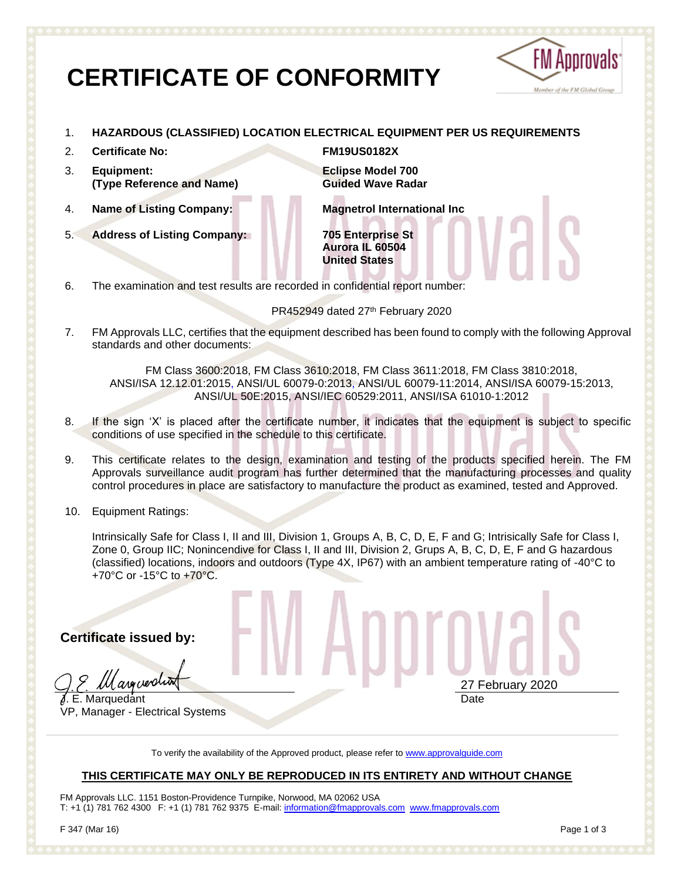# **CERTIFICATE OF CONFORMITY**



- 1. **HAZARDOUS (CLASSIFIED) LOCATION ELECTRICAL EQUIPMENT PER US REQUIREMENTS**
- 2. **Certificate No: FM19US0182X**
- 3. **Equipment: (Type Reference and Name)**
- 
- 5. **Address of Listing Company: 705 Enterprise St**

**Eclipse Model 700 Guided Wave Radar**

4. **Name of Listing Company: Magnetrol International Inc**

**Aurora IL 60504 United States**

6. The examination and test results are recorded in confidential report number:

PR452949 dated 27th February 2020

7. FM Approvals LLC, certifies that the equipment described has been found to comply with the following Approval standards and other documents:

FM Class 3600:2018, FM Class 3610:2018, FM Class 3611:2018, FM Class 3810:2018, ANSI/ISA 12.12.01:2015, ANSI/UL 60079-0:2013, ANSI/UL 60079-11:2014, ANSI/ISA 60079-15:2013, ANSI/UL 50E:2015, ANSI/IEC 60529:2011, ANSI/ISA 61010-1:2012

- 8. If the sign 'X' is placed after the certificate number, it indicates that the equipment is subject to specific conditions of use specified in the schedule to this certificate.
- 9. This certificate relates to the design, examination and testing of the products specified herein. The FM Approvals surveillance audit program has further determined that the manufacturing processes and quality control procedures in place are satisfactory to manufacture the product as examined, tested and Approved.
- 10. Equipment Ratings:

Intrinsically Safe for Class I, II and III, Division 1, Groups A, B, C, D, E, F and G; Intrisically Safe for Class I, Zone 0, Group IIC; Nonincendive for Class I, II and III, Division 2, Grups A, B, C, D, E, F and G hazardous (classified) locations, indoors and outdoors (Type 4X, IP67) with an ambient temperature rating of -40°C to +70°C or -15°C to +70°C.

**Certificate issued by:**

II asecreptiv

**J. E. Marquedant** VP, Manager - Electrical Systems 27 February 2020 Date

To verify the availability of the Approved product, please refer to [www.approvalguide.com](http://www.approvalguide.com/)

## **THIS CERTIFICATE MAY ONLY BE REPRODUCED IN ITS ENTIRETY AND WITHOUT CHANGE**

FM Approvals LLC. 1151 Boston-Providence Turnpike, Norwood, MA 02062 USA T: +1 (1) 781 762 4300 F: +1 (1) 781 762 9375 E-mail[: information@fmapprovals.com](mailto:information@fmapprovals.com) [www.fmapprovals.com](http://www.fmapprovals.com/)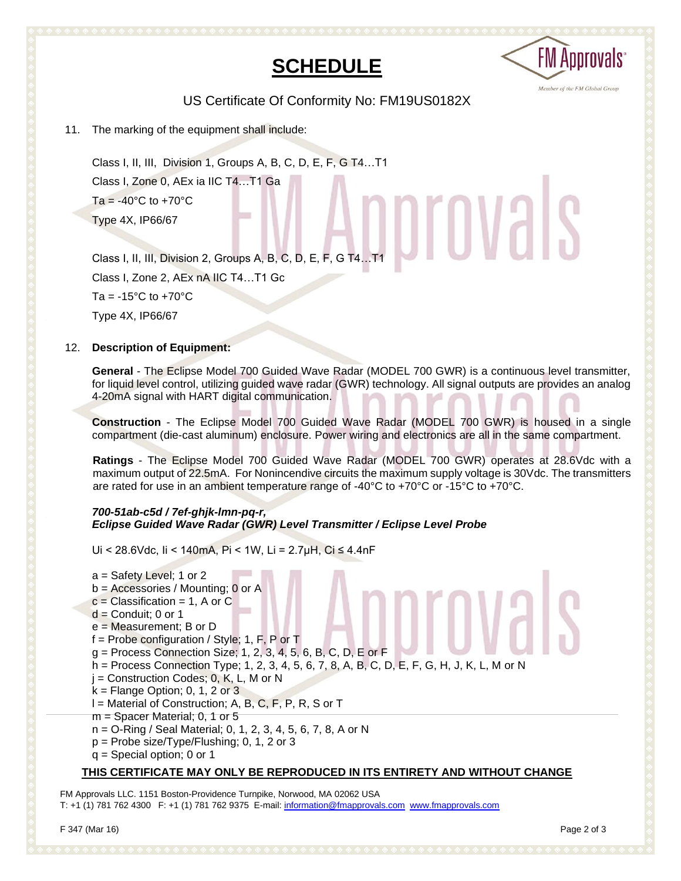## **SCHEDULE**



US Certificate Of Conformity No: FM19US0182X

11. The marking of the equipment shall include:

Class I, II, III, Division 1, Groups A, B, C, D, E, F, G T4…T1 Class I, Zone 0, AEx ia IIC T4…T1 Ga  $Ta = -40^{\circ}C$  to  $+70^{\circ}C$ Type 4X, IP66/67 Type 4X, IP66/67<br>Class I, II, III, Division 2, Groups A, B, C, D, E, F, G T4…T1

Class I, Zone 2, AEx nA IIC T4…T1 Gc Ta =  $-15^{\circ}$ C to  $+70^{\circ}$ C Type 4X, IP66/67

## 12. **Description of Equipment:**

**General** - The Eclipse Model 700 Guided Wave Radar (MODEL 700 GWR) is a continuous level transmitter, for liquid level control, utilizing guided wave radar (GWR) technology. All signal outputs are provides an analog 4-20mA signal with HART digital communication.

**Construction** - The Eclipse Model 700 Guided Wave Radar (MODEL 700 GWR) is housed in a single compartment (die-cast aluminum) enclosure. Power wiring and electronics are all in the same compartment.

**Ratings** - The Eclipse Model 700 Guided Wave Radar (MODEL 700 GWR) operates at 28.6Vdc with a maximum output of 22.5mA. For Nonincendive circuits the maximum supply voltage is 30Vdc. The transmitters are rated for use in an ambient temperature range of -40 $\degree$ C to +70 $\degree$ C or -15 $\degree$ C to +70 $\degree$ C.

## *700-51ab-c5d / 7ef-ghjk-lmn-pq-r, Eclipse Guided Wave Radar (GWR) Level Transmitter / Eclipse Level Probe*

Ui < 28.6Vdc, Ii < 140mA, Pi < 1W, Li = 2.7µH, Ci ≤ 4.4nF

a = Safety Level; 1 or 2 b = Accessories / Mounting; 0 or A  $c =$  Classification = 1, A or C  $d =$  Conduit; 0 or 1 e = Measurement; B or D f = Probe configuration / Style; 1, F, P or T g = Process Connection Size; 1, 2, 3, 4, 5, 6, B, C, D, E or F h = Process Connection Type; 1, 2, 3, 4, 5, 6, 7, 8, A, B, C, D, E, F, G, H, J, K, L, M or N  $j =$  Construction Codes; 0, K, L, M or N  $k =$  Flange Option; 0, 1, 2 or 3  $I =$  Material of Construction; A, B, C, F, P, R, S or T m = Spacer Material; 0, 1 or 5 n = O-Ring / Seal Material; 0, 1, 2, 3, 4, 5, 6, 7, 8, A or N p = Probe size/Type/Flushing; 0, 1, 2 or 3 q = Special option; 0 or 1

## **THIS CERTIFICATE MAY ONLY BE REPRODUCED IN ITS ENTIRETY AND WITHOUT CHANGE**

FM Approvals LLC. 1151 Boston-Providence Turnpike, Norwood, MA 02062 USA T: +1 (1) 781 762 4300 F: +1 (1) 781 762 9375 E-mail[: information@fmapprovals.com](mailto:information@fmapprovals.com) [www.fmapprovals.com](http://www.fmapprovals.com/)